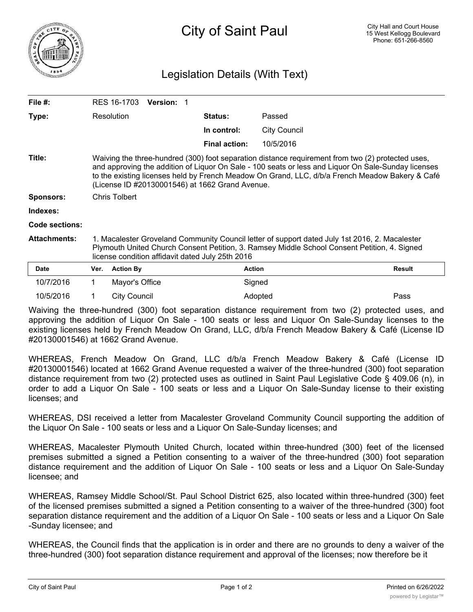

## Legislation Details (With Text)

| File #:          | RES 16-1703<br><b>Version: 1</b>                                                                                                                                                                                                                                                                                                                               |                      |                     |               |
|------------------|----------------------------------------------------------------------------------------------------------------------------------------------------------------------------------------------------------------------------------------------------------------------------------------------------------------------------------------------------------------|----------------------|---------------------|---------------|
| Type:            | Resolution                                                                                                                                                                                                                                                                                                                                                     | <b>Status:</b>       | Passed              |               |
|                  |                                                                                                                                                                                                                                                                                                                                                                | In control:          | <b>City Council</b> |               |
|                  |                                                                                                                                                                                                                                                                                                                                                                | <b>Final action:</b> | 10/5/2016           |               |
| Title:           | Waiving the three-hundred (300) foot separation distance requirement from two (2) protected uses,<br>and approving the addition of Liquor On Sale - 100 seats or less and Liquor On Sale-Sunday licenses<br>to the existing licenses held by French Meadow On Grand, LLC, d/b/a French Meadow Bakery & Café<br>(License ID #20130001546) at 1662 Grand Avenue. |                      |                     |               |
| <b>Sponsors:</b> | <b>Chris Tolbert</b>                                                                                                                                                                                                                                                                                                                                           |                      |                     |               |
| Indexes:         |                                                                                                                                                                                                                                                                                                                                                                |                      |                     |               |
| Code sections:   |                                                                                                                                                                                                                                                                                                                                                                |                      |                     |               |
| Attachments:     | 1. Macalester Groveland Community Council letter of support dated July 1st 2016, 2. Macalester<br>Plymouth United Church Consent Petition, 3. Ramsey Middle School Consent Petition, 4. Signed<br>license condition affidavit dated July 25th 2016                                                                                                             |                      |                     |               |
| Date             | <b>Action By</b><br>Ver.                                                                                                                                                                                                                                                                                                                                       | <b>Action</b>        |                     | <b>Result</b> |
|                  |                                                                                                                                                                                                                                                                                                                                                                |                      |                     |               |

Waiving the three-hundred (300) foot separation distance requirement from two (2) protected uses, and approving the addition of Liquor On Sale - 100 seats or less and Liquor On Sale-Sunday licenses to the existing licenses held by French Meadow On Grand, LLC, d/b/a French Meadow Bakery & Café (License ID #20130001546) at 1662 Grand Avenue.

10/5/2016 1 City Council Adopted Pass

10/7/2016 1 Mayor's Office 1 Signed

WHEREAS, French Meadow On Grand, LLC d/b/a French Meadow Bakery & Café (License ID #20130001546) located at 1662 Grand Avenue requested a waiver of the three-hundred (300) foot separation distance requirement from two (2) protected uses as outlined in Saint Paul Legislative Code § 409.06 (n), in order to add a Liquor On Sale - 100 seats or less and a Liquor On Sale-Sunday license to their existing licenses; and

WHEREAS, DSI received a letter from Macalester Groveland Community Council supporting the addition of the Liquor On Sale - 100 seats or less and a Liquor On Sale-Sunday licenses; and

WHEREAS, Macalester Plymouth United Church, located within three-hundred (300) feet of the licensed premises submitted a signed a Petition consenting to a waiver of the three-hundred (300) foot separation distance requirement and the addition of Liquor On Sale - 100 seats or less and a Liquor On Sale-Sunday licensee; and

WHEREAS, Ramsey Middle School/St. Paul School District 625, also located within three-hundred (300) feet of the licensed premises submitted a signed a Petition consenting to a waiver of the three-hundred (300) foot separation distance requirement and the addition of a Liquor On Sale - 100 seats or less and a Liquor On Sale -Sunday licensee; and

WHEREAS, the Council finds that the application is in order and there are no grounds to deny a waiver of the three-hundred (300) foot separation distance requirement and approval of the licenses; now therefore be it